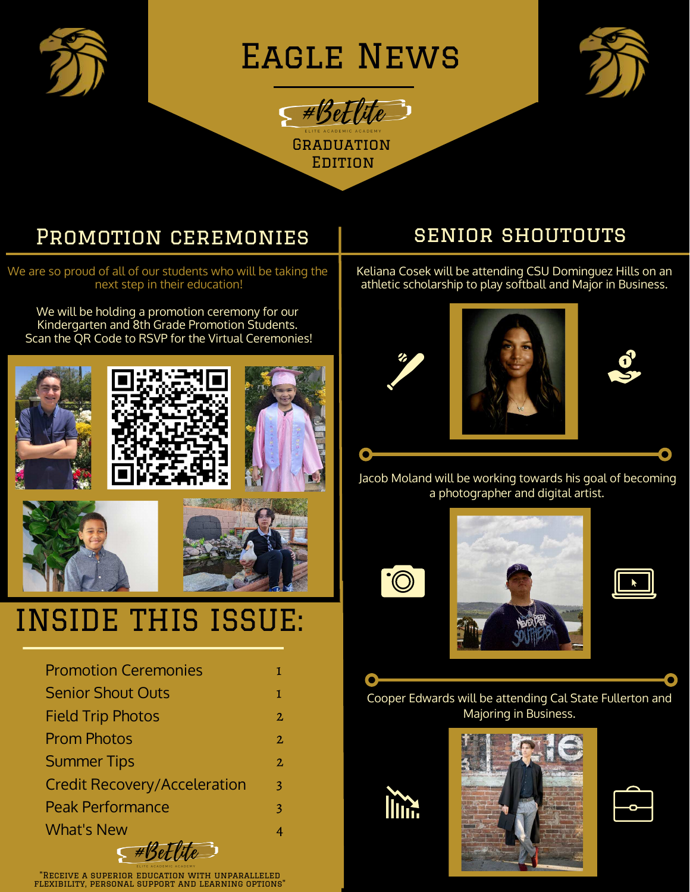

Eagle News

**GRADUATION EDITION** 

 $F*Set$ lite



### Promotion ceremonies

We are so proud of all of our students who will be taking the next step in their education!

We will be holding a promotion ceremony for our Kindergarten and 8th Grade Promotion Students. Scan the QR Code to RSVP for the Virtual Ceremonies!



## INSIDE THIS ISSUE:

| <b>Promotion Ceremonies</b>         | L              |
|-------------------------------------|----------------|
| <b>Senior Shout Outs</b>            | 1              |
| <b>Field Trip Photos</b>            | $\overline{2}$ |
| <b>Prom Photos</b>                  | $\overline{2}$ |
| <b>Summer Tips</b>                  | 2              |
| <b>Credit Recovery/Acceleration</b> | 3              |
| <b>Peak Performance</b>             | 3              |
| <b>What's New</b>                   | 4              |
| $\epsilon$ #Bed                     |                |

"Receive a superior education with unparalleled flexibility, personal support and learning options"

#### senior shoutouts

Keliana Cosek will be attending CSU Dominguez Hills on an athletic scholarship to play softball and Major in Business.





Jacob Moland will be working towards his goal of becoming a photographer and digital artist.







Cooper Edwards will be attending Cal State Fullerton and Majoring in Business.



O



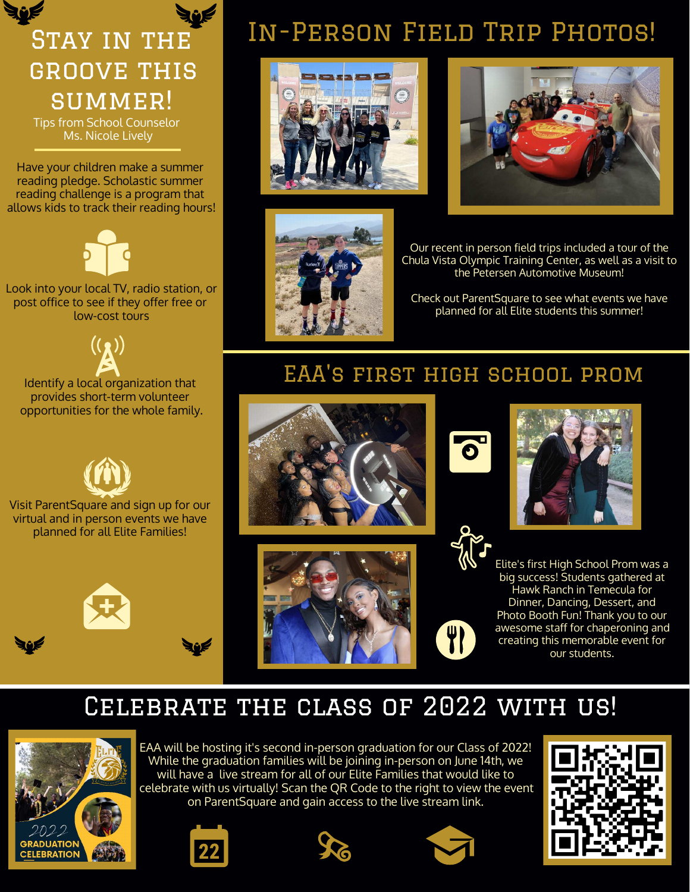# groove this summer!

Tips from School Counselor Ms. Nicole Lively

Have your children make a summer reading pledge. Scholastic summer reading challenge is a program that allows kids to track their reading hours!



Look into your local TV, radio station, or post office to see if they offer free or low-cost tours

Identify a local organization that provides short-term volunteer opportunities for the whole family.



Visit ParentSquare and sign up for our virtual and in person events we have planned for all Elite Families!



# STAY IN THE IN-PERSON FIELD TRIP PHOTOS!







Our recent in person field trips included a tour of the Chula Vista Olympic Training Center, as well as a visit to the Petersen Automotive Museum!

Check out ParentSquare to see what events we have planned for all Elite students this summer!

### EAA's first high school prom









Elite's first High School Prom was a big success! Students gathered at Hawk Ranch in Temecula for Dinner, Dancing, Dessert, and Photo Booth Fun! Thank you to our awesome staff for chaperoning and creating this memorable event for our students.

### CELEBRATE THE CLASS OF 2022 WITH US!



EAA will be hosting it's second in-person graduation for our Class of 2022! While the graduation families will be joining in-person on June 14th, we will have a live stream for all of our Elite Families that would like to celebrate with us virtually! Scan the QR Code to the right to view the event on ParentSquare and gain access to the live stream link.







W

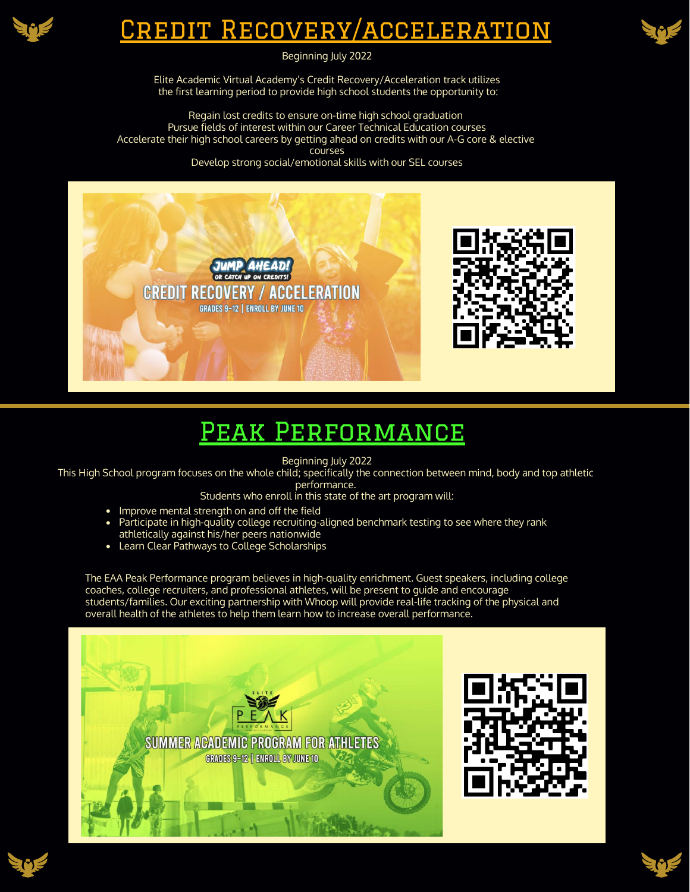

### Credit Recovery/acceleration



Beginning July 2022

Elite Academic Virtual Academy's Credit Recovery/Acceleration track utilizes the first learning period to provide high school students the opportunity to:

Regain lost credits to ensure on-time high school graduation Pursue fields of interest within our Career Technical Education courses Accelerate their high school careers by getting ahead on credits with our A-G core & elective courses Develop strong social/emotional skills with our SEL courses



### Peak Performance

Beginning July 2022

This High School program focuses on the whole child; specifically the connection between mind, body and top athletic performance.

Students who enroll in this state of the art program will:

- Improve mental strength on and off the field
- Participate in high-quality college recruiting-aligned benchmark testing to see where they rank athletically against his/her peers nationwide
- Learn Clear Pathways to College Scholarships

The EAA Peak Performance program believes in high-quality enrichment. Guest speakers, including college coaches, college recruiters, and professional athletes, will be present to guide and encourage students/families. Our exciting partnership with Whoop will provide real-life tracking of the physical and overall health of the athletes to help them learn how to increase overall performance.